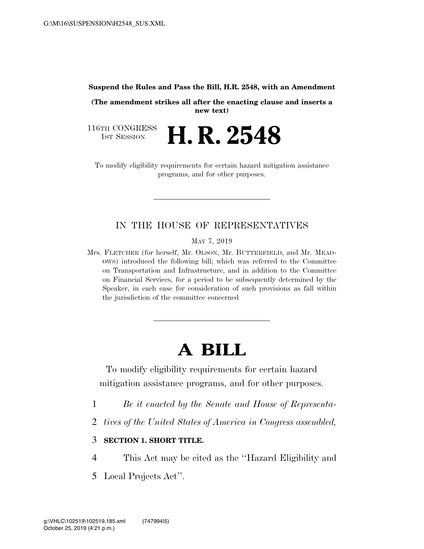**Suspend the Rules and Pass the Bill, H.R. 2548, with an Amendment** 

**(The amendment strikes all after the enacting clause and inserts a new text)** 

116TH CONGRESS<br>1st Session **H. R. 2548** 

To modify eligibility requirements for certain hazard mitigation assistance programs, and for other purposes.

## IN THE HOUSE OF REPRESENTATIVES

MAY 7, 2019

Mrs. FLETCHER (for herself, Mr. OLSON, Mr. BUTTERFIELD, and Mr. MEAD-OWS) introduced the following bill; which was referred to the Committee on Transportation and Infrastructure, and in addition to the Committee on Financial Services, for a period to be subsequently determined by the Speaker, in each case for consideration of such provisions as fall within the jurisdiction of the committee concerned

## **A BILL**

To modify eligibility requirements for certain hazard mitigation assistance programs, and for other purposes.

- 1 *Be it enacted by the Senate and House of Representa-*
- 2 *tives of the United States of America in Congress assembled,*
- 3 **SECTION 1. SHORT TITLE.**
- 4 This Act may be cited as the ''Hazard Eligibility and
- 5 Local Projects Act''.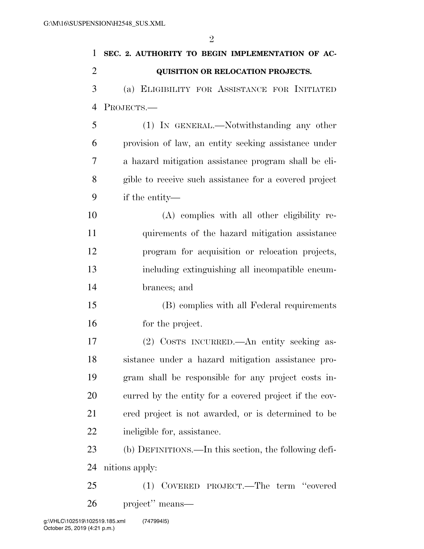| 1              | SEC. 2. AUTHORITY TO BEGIN IMPLEMENTATION OF AC-       |
|----------------|--------------------------------------------------------|
| $\overline{2}$ | <b>QUISITION OR RELOCATION PROJECTS.</b>               |
| 3              | (a) ELIGIBILITY FOR ASSISTANCE FOR INITIATED           |
| 4              | PROJECTS.-                                             |
| 5              | (1) IN GENERAL.—Notwithstanding any other              |
| 6              | provision of law, an entity seeking assistance under   |
| 7              | a hazard mitigation assistance program shall be eli-   |
| 8              | gible to receive such assistance for a covered project |
| 9              | if the entity—                                         |
| 10             | (A) complies with all other eligibility re-            |
| 11             | quirements of the hazard mitigation assistance         |
| 12             | program for acquisition or relocation projects,        |
| 13             | including extinguishing all incompatible encum-        |
| 14             | brances; and                                           |
| 15             | (B) complies with all Federal requirements             |
| 16             | for the project.                                       |
| 17             | (2) COSTS INCURRED.—An entity seeking as-              |
| 18             | sistance under a hazard mitigation assistance pro-     |
| 19             | gram shall be responsible for any project costs in-    |
| 20             | curred by the entity for a covered project if the cov- |
| 21             | ered project is not awarded, or is determined to be    |
| 22             | ineligible for, assistance.                            |
| 23             | (b) DEFINITIONS.—In this section, the following defi-  |
| 24             | nitions apply:                                         |
| 25             | COVERED PROJECT.—The term "covered<br>(1)              |
| 26             | project" means—                                        |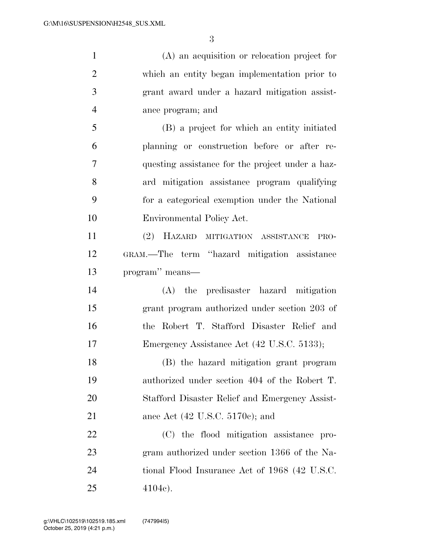(A) an acquisition or relocation project for

 which an entity began implementation prior to grant award under a hazard mitigation assist- ance program; and (B) a project for which an entity initiated planning or construction before or after re- questing assistance for the project under a haz- ard mitigation assistance program qualifying for a categorical exemption under the National Environmental Policy Act. (2) HAZARD MITIGATION ASSISTANCE PRO- GRAM.—The term ''hazard mitigation assistance program'' means— (A) the predisaster hazard mitigation grant program authorized under section 203 of the Robert T. Stafford Disaster Relief and Emergency Assistance Act (42 U.S.C. 5133); (B) the hazard mitigation grant program authorized under section 404 of the Robert T. Stafford Disaster Relief and Emergency Assist- ance Act (42 U.S.C. 5170c); and (C) the flood mitigation assistance pro- gram authorized under section 1366 of the Na- tional Flood Insurance Act of 1968 (42 U.S.C. 25 4104c).